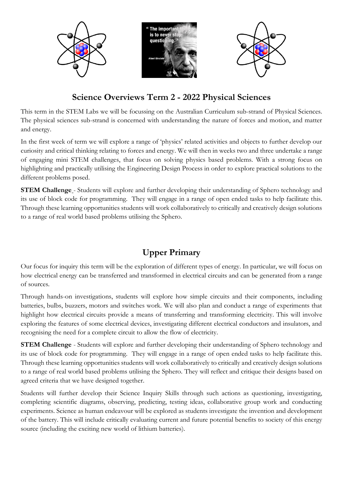

## **Science Overviews Term 2 - 2022 Physical Sciences**

This term in the STEM Labs we will be focussing on the Australian Curriculum sub-strand of Physical Sciences. The physical sciences sub-strand is concerned with understanding the nature of forces and motion, and matter and energy.

In the first week of term we will explore a range of 'physics' related activities and objects to further develop our curiosity and critical thinking relating to forces and energy. We will then in weeks two and three undertake a range of engaging mini STEM challenges, that focus on solving physics based problems. With a strong focus on highlighting and practically utilising the Engineering Design Process in order to explore practical solutions to the different problems posed.

**STEM Challenge** - Students will explore and further developing their understanding of Sphero technology and its use of block code for programming. They will engage in a range of open ended tasks to help facilitate this. Through these learning opportunities students will work collaboratively to critically and creatively design solutions to a range of real world based problems utilising the Sphero.

## **Upper Primary**

Our focus for inquiry this term will be the exploration of different types of energy. In particular, we will focus on how electrical energy can be transferred and transformed in electrical circuits and can be generated from a range of sources.

Through hands-on investigations, students will explore how simple circuits and their components, including batteries, bulbs, buzzers, motors and switches work. We will also plan and conduct a range of experiments that highlight how electrical circuits provide a means of transferring and transforming electricity. This will involve exploring the features of some electrical devices, investigating different electrical conductors and insulators, and recognising the need for a complete circuit to allow the flow of electricity.

**STEM Challenge** - Students will explore and further developing their understanding of Sphero technology and its use of block code for programming. They will engage in a range of open ended tasks to help facilitate this. Through these learning opportunities students will work collaboratively to critically and creatively design solutions to a range of real world based problems utilising the Sphero. They will reflect and critique their designs based on agreed criteria that we have designed together.

Students will further develop their Science Inquiry Skills through such actions as questioning, investigating, completing scientific diagrams, observing, predicting, testing ideas, collaborative group work and conducting experiments. Science as human endeavour will be explored as students investigate the invention and development of the battery. This will include critically evaluating current and future potential benefits to society of this energy source (including the exciting new world of lithium batteries).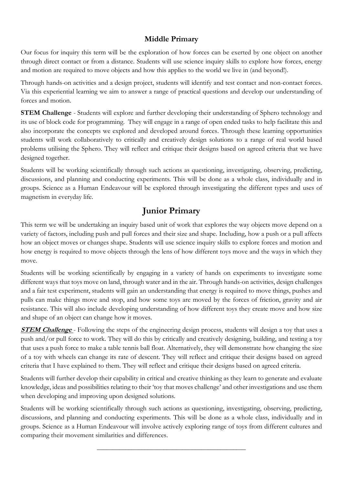## **Middle Primary**

Our focus for inquiry this term will be the exploration of how forces can be exerted by one object on another through direct contact or from a distance. Students will use science inquiry skills to explore how forces, energy and motion are required to move objects and how this applies to the world we live in (and beyond!).

Through hands-on activities and a design project, students will identify and test contact and non-contact forces. Via this experiential learning we aim to answer a range of practical questions and develop our understanding of forces and motion.

**STEM Challenge** - Students will explore and further developing their understanding of Sphero technology and its use of block code for programming. They will engage in a range of open ended tasks to help facilitate this and also incorporate the concepts we explored and developed around forces. Through these learning opportunities students will work collaboratively to critically and creatively design solutions to a range of real world based problems utilising the Sphero. They will reflect and critique their designs based on agreed criteria that we have designed together.

Students will be working scientifically through such actions as questioning, investigating, observing, predicting, discussions, and planning and conducting experiments. This will be done as a whole class, individually and in groups. Science as a Human Endeavour will be explored through investigating the different types and uses of magnetism in everyday life.

## **Junior Primary**

This term we will be undertaking an inquiry based unit of work that explores the way objects move depend on a variety of factors, including push and pull forces and their size and shape. Including, how a push or a pull affects how an object moves or changes shape. Students will use science inquiry skills to explore forces and motion and how energy is required to move objects through the lens of how different toys move and the ways in which they move.

Students will be working scientifically by engaging in a variety of hands on experiments to investigate some different ways that toys move on land, through water and in the air. Through hands-on activities, design challenges and a fair test experiment, students will gain an understanding that energy is required to move things, pushes and pulls can make things move and stop, and how some toys are moved by the forces of friction, gravity and air resistance. This will also include developing understanding of how different toys they create move and how size and shape of an object can change how it moves.

**STEM Challenge** - Following the steps of the engineering design process, students will design a toy that uses a push and/or pull force to work. They will do this by critically and creatively designing, building, and testing a toy that uses a push force to make a table tennis ball float. Alternatively, they will demonstrate how changing the size of a toy with wheels can change its rate of descent. They will reflect and critique their designs based on agreed criteria that I have explained to them. They will reflect and critique their designs based on agreed criteria.

Students will further develop their capability in critical and creative thinking as they learn to generate and evaluate knowledge, ideas and possibilities relating to their 'toy that moves challenge' and other investigations and use them when developing and improving upon designed solutions.

Students will be working scientifically through such actions as questioning, investigating, observing, predicting, discussions, and planning and conducting experiments. This will be done as a whole class, individually and in groups. Science as a Human Endeavour will involve actively exploring range of toys from different cultures and comparing their movement similarities and differences.

\_\_\_\_\_\_\_\_\_\_\_\_\_\_\_\_\_\_\_\_\_\_\_\_\_\_\_\_\_\_\_\_\_\_\_\_\_\_\_\_\_\_\_\_\_\_\_